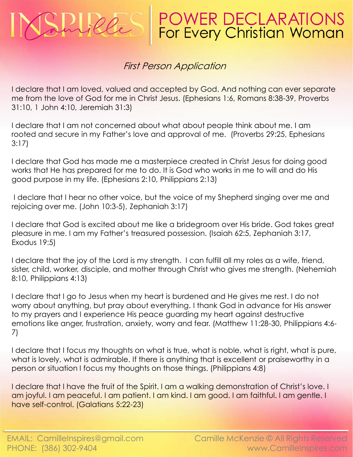## **POWER DECLARATIONS**<br>For Every Christian Woman

## First Person Application

I declare that I am loved, valued and accepted by God. And nothing can ever separate me from the love of God for me in Christ Jesus. (Ephesians 1:6, Romans 8:38-39, Proverbs 31:10, 1 John 4:10, Jeremiah 31:3)

I declare that I am not concerned about what about people think about me. I am rooted and secure in my Father's love and approval of me. (Proverbs 29:25, Ephesians 3:17)

I declare that God has made me a masterpiece created in Christ Jesus for doing good works that He has prepared for me to do. It is God who works in me to will and do His good purpose in my life. (Ephesians 2:10, Philippians 2:13)

I declare that I hear no other voice, but the voice of my Shepherd singing over me and rejoicing over me. (John 10:3-5), Zephaniah 3:17)

I declare that God is excited about me like a bridegroom over His bride. God takes great pleasure in me. I am my Father's treasured possession. (Isaiah 62:5, Zephaniah 3:17, Exodus 19:5)

I declare that the joy of the Lord is my strength. I can fulfill all my roles as a wife, friend, sister, child, worker, disciple, and mother through Christ who gives me strength. (Nehemiah 8:10, Philippians 4:13)

I declare that I go to Jesus when my heart is burdened and He gives me rest. I do not worry about anything, but pray about everything. I thank God in advance for His answer to my prayers and I experience His peace guarding my heart against destructive emotions like anger, frustration, anxiety, worry and fear. (Matthew 11:28-30, Philippians 4:6- 7)

I declare that I focus my thoughts on what is true, what is noble, what is right, what is pure, what is lovely, what is admirable. If there is anything that is excellent or praiseworthy in a person or situation I focus my thoughts on those things. (Philippians 4:8)

I declare that I have the fruit of the Spirit. I am a walking demonstration of Christ's love. I am joyful. I am peaceful. I am patient. I am kind. I am good. I am faithful. I am gentle. I have self-control. (Galatians 5:22-23)